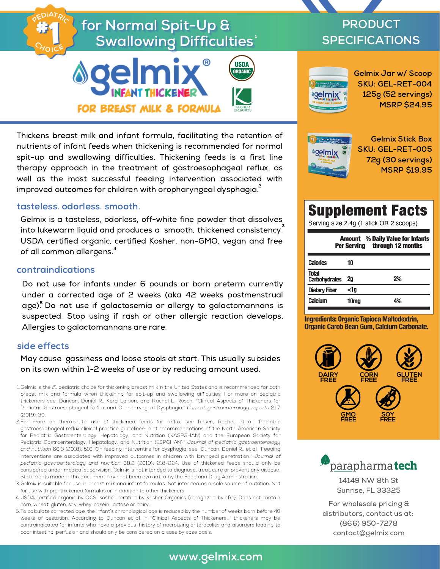# for Normal Spit-Up & Swallowing Difficulties'





Thickens breast milk and infant formula, facilitating the retention of nutrients of infant feeds when thickening is recommended for normal spit-up and swallowing difficulties. Thickening feeds is a first line therapy approach in the treatment of gastroesophageal reflux, as well as the most successful feeding intervention associated with improved outcomes for children with oropharyngeal dysphagia. $\hat{\cdot}$ 

#### tasteless. odorless. smooth.

Gelmix is a tasteless, odorless, off-white fine powder that dissolves into lukewarm liquid and produces a  $\,$  smooth, thickened consistency. $^3$ USDA certified organic, certified Kosher, non-GMO, vegan and free of all common allergens. 4

#### contraindications

Do not use for infants under 6 pounds or born preterm currently under a corrected age of 2 weeks (aka 42 weeks postmenstrual age).<sup>5</sup> Do not use if galactosemia or allergy to galactomannans is suspected. Stop using if rash or other allergic reaction develops. Allergies to galactomannans are rare.

### side effects

May cause gassiness and loose stools at start. This usually subsides on its own within 1-2 weeks of use or by reducing amount used.

- Gelmix is the #1 pediatric choice for thickening breast milk in the United States and is recommended for both 1. breast milk and formula when thickening for spit-up and swallowing difficulties. For more on pediatric thickeners see: Duncan, Daniel R., Kara Larson, and Rachel L. Rosen. "Clinical Aspects of Thickeners for Pediatric Gastroesophageal Reflux and Oropharyngeal Dysphagia." Current gastroenterology reports 21.7 (2019): 30.
- For more on therapeutic use of thickened feeds for reflux, see Rosen, Rachel, et al. "Pediatric 2. gastroesophageal reflux clinical practice guidelines: joint recommendations of the North American Society for Pediatric Gastroenterology, Hepatology, and Nutrition (NASPGHAN) and the European Society for Pediatric Gastroenterology, Hepatology, and Nutrition (ESPGHAN)." Journal of pediatric gastroenterology and nutrition 66.3 (2018): 516. On feeding interventins for dysphagia, see Duncan, Daniel R., et al. "Feeding interventions are associated with improved outcomes in children with laryngeal penetration." Journal of pediatric gastroenterology and nutrition 68.2 (2019): 218-224. Use of thickened feeds should only be considered under medical supervision. Gelmix is not intended to diagnose, treat, cure or prevent any disease. Statements made in this document have not been evaluated by the Food and Drug Administration.
- Gelmix is suitable for use in breast milk and infant formulas. Not intended as a sole source of nutrition. Not 3. for use with pre-thickened formulas or in addition to other thickeners.
- USDA certified organic by QCS, Kosher certified by Kosher Organics (recognized by cRc). Does not contain 4. corn, wheat, gluten, soy, whey, casein, lactose or dairy.
- To calculate corrected age, the infant's chronological age is reduced by the number of weeks born before 40 5. weeks of gestation. According to Duncan et al. in "Clinical Aspects of Thickeners..." thickeners may be contraindicated for infants who have a previous history of necrotizing enterocolitis and disorders leading to poor intestinal perfusion and should only be considered on a case by case basis.

# PRODUCT SPECIFICATIONS



Gelmix Jar w/ Scoop SKU: GEL-RET-004 125g (52 servings) MSRP \$24.95



Gelmix Stick Box SKU: GEL-RET-005 72g (30 servings) MSRP \$19.95

# **Supplement Facts**

Serving size 2.4g (1 stick OR 2 scoops)

| <b>Amount</b> % Daily Value for Infants<br>through 12 months<br><b>Per Serving</b> |      |    |
|------------------------------------------------------------------------------------|------|----|
| <b>Calories</b>                                                                    | 10   |    |
| <b>Total</b><br><b>Carbohydrates</b>                                               | 2q   | 2% |
| <b>Dietary Fiber</b>                                                               | <1a  |    |
| Calcium                                                                            | 10ma |    |

**Ingredients: Organic Tapioca Maltodextrin, Organic Carob Bean Gum, Calcium Carbonate.** 





14149 NW 8th St Sunrise, FL 33325

For wholesale pricing & distributors, contact us at: (866) 950-7278 contact@gelmix.com

## www.gelmix.com